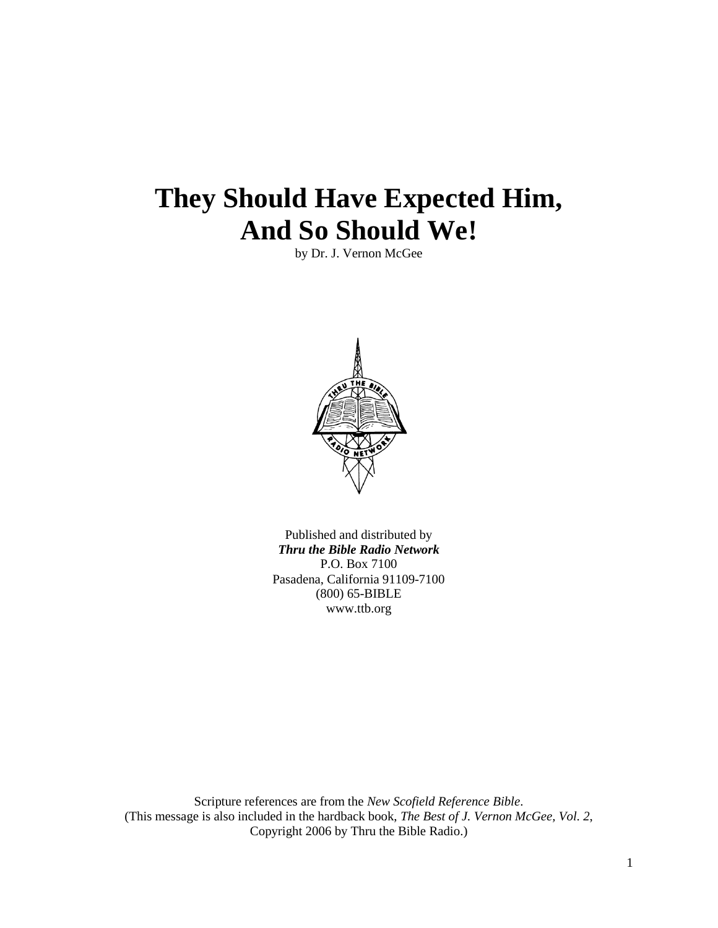# **They Should Have Expected Him, And So Should We!**

by Dr. J. Vernon McGee



Published and distributed by *Thru the Bible Radio Network* P.O. Box 7100 Pasadena, California 91109-7100 (800) 65-BIBLE www.ttb.org

Scripture references are from the *New Scofield Reference Bible*. (This message is also included in the hardback book, *The Best of J. Vernon McGee, Vol. 2*, Copyright 2006 by Thru the Bible Radio.)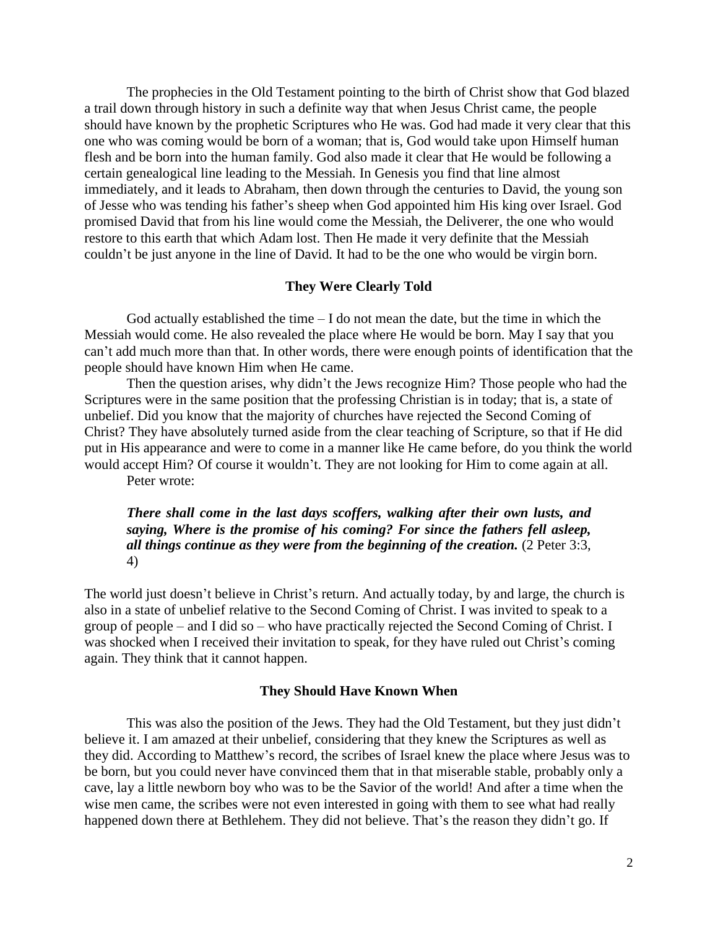The prophecies in the Old Testament pointing to the birth of Christ show that God blazed a trail down through history in such a definite way that when Jesus Christ came, the people should have known by the prophetic Scriptures who He was. God had made it very clear that this one who was coming would be born of a woman; that is, God would take upon Himself human flesh and be born into the human family. God also made it clear that He would be following a certain genealogical line leading to the Messiah. In Genesis you find that line almost immediately, and it leads to Abraham, then down through the centuries to David, the young son of Jesse who was tending his father's sheep when God appointed him His king over Israel. God promised David that from his line would come the Messiah, the Deliverer, the one who would restore to this earth that which Adam lost. Then He made it very definite that the Messiah couldn't be just anyone in the line of David. It had to be the one who would be virgin born.

## **They Were Clearly Told**

God actually established the time  $-1$  do not mean the date, but the time in which the Messiah would come. He also revealed the place where He would be born. May I say that you can't add much more than that. In other words, there were enough points of identification that the people should have known Him when He came.

Then the question arises, why didn't the Jews recognize Him? Those people who had the Scriptures were in the same position that the professing Christian is in today; that is, a state of unbelief. Did you know that the majority of churches have rejected the Second Coming of Christ? They have absolutely turned aside from the clear teaching of Scripture, so that if He did put in His appearance and were to come in a manner like He came before, do you think the world would accept Him? Of course it wouldn't. They are not looking for Him to come again at all.

Peter wrote:

## *There shall come in the last days scoffers, walking after their own lusts, and saying, Where is the promise of his coming? For since the fathers fell asleep, all things continue as they were from the beginning of the creation.* (2 Peter 3:3, 4)

The world just doesn't believe in Christ's return. And actually today, by and large, the church is also in a state of unbelief relative to the Second Coming of Christ. I was invited to speak to a group of people – and I did so – who have practically rejected the Second Coming of Christ. I was shocked when I received their invitation to speak, for they have ruled out Christ's coming again. They think that it cannot happen.

## **They Should Have Known When**

This was also the position of the Jews. They had the Old Testament, but they just didn't believe it. I am amazed at their unbelief, considering that they knew the Scriptures as well as they did. According to Matthew's record, the scribes of Israel knew the place where Jesus was to be born, but you could never have convinced them that in that miserable stable, probably only a cave, lay a little newborn boy who was to be the Savior of the world! And after a time when the wise men came, the scribes were not even interested in going with them to see what had really happened down there at Bethlehem. They did not believe. That's the reason they didn't go. If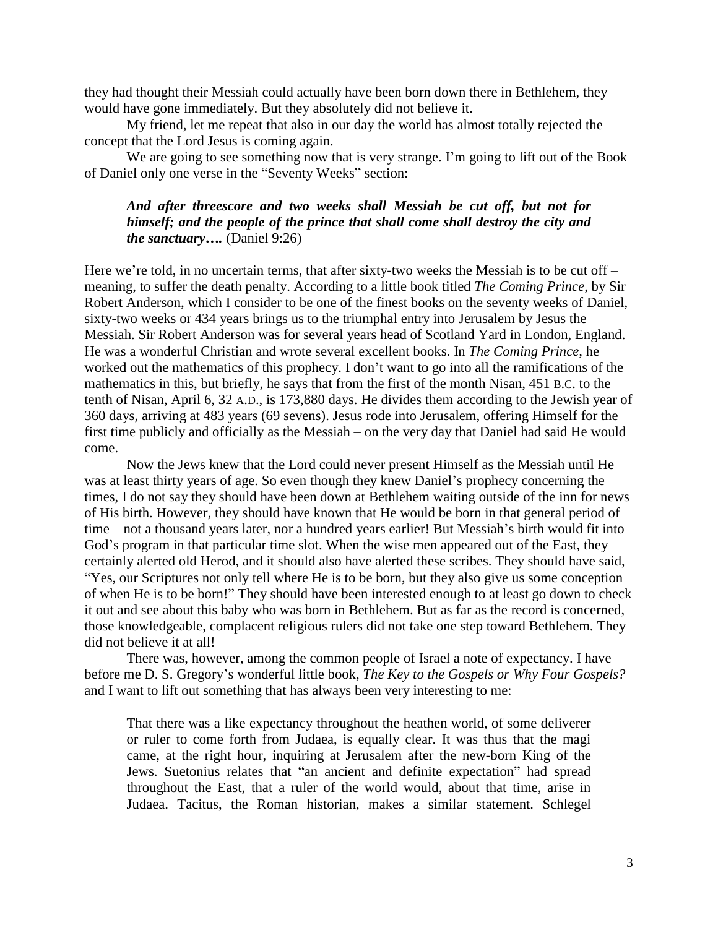they had thought their Messiah could actually have been born down there in Bethlehem, they would have gone immediately. But they absolutely did not believe it.

My friend, let me repeat that also in our day the world has almost totally rejected the concept that the Lord Jesus is coming again.

We are going to see something now that is very strange. I'm going to lift out of the Book of Daniel only one verse in the "Seventy Weeks" section:

# *And after threescore and two weeks shall Messiah be cut off, but not for himself; and the people of the prince that shall come shall destroy the city and the sanctuary….* (Daniel 9:26)

Here we're told, in no uncertain terms, that after sixty-two weeks the Messiah is to be cut off – meaning, to suffer the death penalty. According to a little book titled *The Coming Prince*, by Sir Robert Anderson, which I consider to be one of the finest books on the seventy weeks of Daniel, sixty-two weeks or 434 years brings us to the triumphal entry into Jerusalem by Jesus the Messiah. Sir Robert Anderson was for several years head of Scotland Yard in London, England. He was a wonderful Christian and wrote several excellent books. In *The Coming Prince,* he worked out the mathematics of this prophecy. I don't want to go into all the ramifications of the mathematics in this, but briefly, he says that from the first of the month Nisan, 451 B.C. to the tenth of Nisan, April 6, 32 A.D., is 173,880 days. He divides them according to the Jewish year of 360 days, arriving at 483 years (69 sevens). Jesus rode into Jerusalem, offering Himself for the first time publicly and officially as the Messiah – on the very day that Daniel had said He would come.

Now the Jews knew that the Lord could never present Himself as the Messiah until He was at least thirty years of age. So even though they knew Daniel's prophecy concerning the times, I do not say they should have been down at Bethlehem waiting outside of the inn for news of His birth. However, they should have known that He would be born in that general period of time – not a thousand years later, nor a hundred years earlier! But Messiah's birth would fit into God's program in that particular time slot. When the wise men appeared out of the East, they certainly alerted old Herod, and it should also have alerted these scribes. They should have said, "Yes, our Scriptures not only tell where He is to be born, but they also give us some conception of when He is to be born!" They should have been interested enough to at least go down to check it out and see about this baby who was born in Bethlehem. But as far as the record is concerned, those knowledgeable, complacent religious rulers did not take one step toward Bethlehem. They did not believe it at all!

There was, however, among the common people of Israel a note of expectancy. I have before me D. S. Gregory's wonderful little book, *The Key to the Gospels or Why Four Gospels?* and I want to lift out something that has always been very interesting to me:

That there was a like expectancy throughout the heathen world, of some deliverer or ruler to come forth from Judaea, is equally clear. It was thus that the magi came, at the right hour, inquiring at Jerusalem after the new-born King of the Jews. Suetonius relates that "an ancient and definite expectation" had spread throughout the East, that a ruler of the world would, about that time, arise in Judaea. Tacitus, the Roman historian, makes a similar statement. Schlegel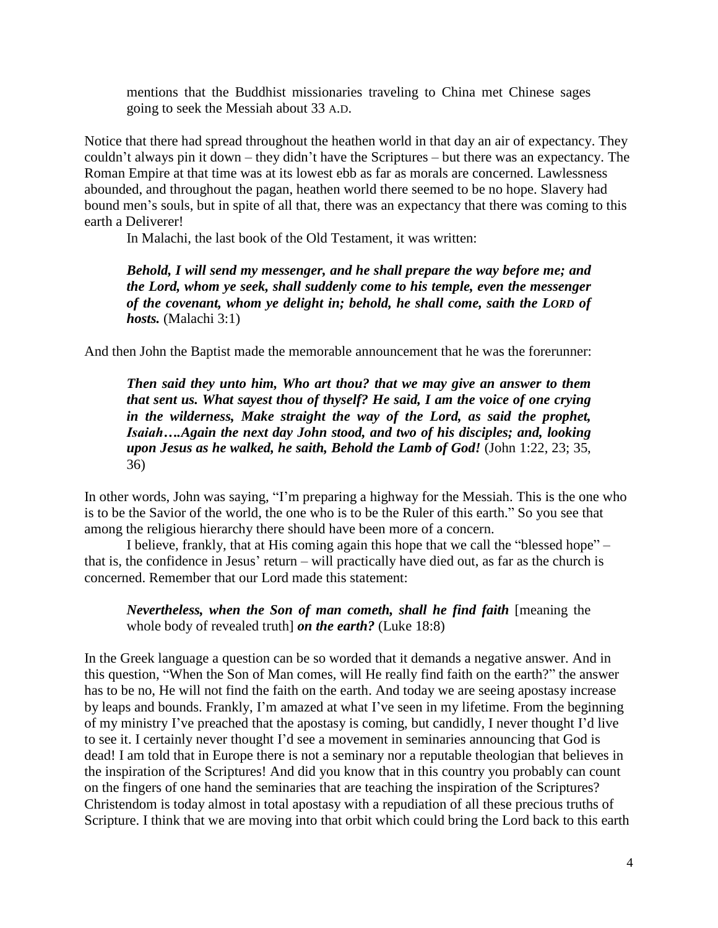mentions that the Buddhist missionaries traveling to China met Chinese sages going to seek the Messiah about 33 A.D.

Notice that there had spread throughout the heathen world in that day an air of expectancy. They couldn't always pin it down – they didn't have the Scriptures – but there was an expectancy. The Roman Empire at that time was at its lowest ebb as far as morals are concerned. Lawlessness abounded, and throughout the pagan, heathen world there seemed to be no hope. Slavery had bound men's souls, but in spite of all that, there was an expectancy that there was coming to this earth a Deliverer!

In Malachi, the last book of the Old Testament, it was written:

*Behold, I will send my messenger, and he shall prepare the way before me; and the Lord, whom ye seek, shall suddenly come to his temple, even the messenger of the covenant, whom ye delight in; behold, he shall come, saith the LORD of hosts.* (Malachi 3:1)

And then John the Baptist made the memorable announcement that he was the forerunner:

*Then said they unto him, Who art thou? that we may give an answer to them that sent us. What sayest thou of thyself? He said, I am the voice of one crying in the wilderness, Make straight the way of the Lord, as said the prophet, Isaiah….Again the next day John stood, and two of his disciples; and, looking upon Jesus as he walked, he saith, Behold the Lamb of God!* (John 1:22, 23; 35, 36)

In other words, John was saying, "I'm preparing a highway for the Messiah. This is the one who is to be the Savior of the world, the one who is to be the Ruler of this earth." So you see that among the religious hierarchy there should have been more of a concern.

I believe, frankly, that at His coming again this hope that we call the "blessed hope" – that is, the confidence in Jesus' return – will practically have died out, as far as the church is concerned. Remember that our Lord made this statement:

*Nevertheless, when the Son of man cometh, shall he find faith* [meaning the whole body of revealed truth] *on the earth?* (Luke 18:8)

In the Greek language a question can be so worded that it demands a negative answer. And in this question, "When the Son of Man comes, will He really find faith on the earth?" the answer has to be no, He will not find the faith on the earth. And today we are seeing apostasy increase by leaps and bounds. Frankly, I'm amazed at what I've seen in my lifetime. From the beginning of my ministry I've preached that the apostasy is coming, but candidly, I never thought I'd live to see it. I certainly never thought I'd see a movement in seminaries announcing that God is dead! I am told that in Europe there is not a seminary nor a reputable theologian that believes in the inspiration of the Scriptures! And did you know that in this country you probably can count on the fingers of one hand the seminaries that are teaching the inspiration of the Scriptures? Christendom is today almost in total apostasy with a repudiation of all these precious truths of Scripture. I think that we are moving into that orbit which could bring the Lord back to this earth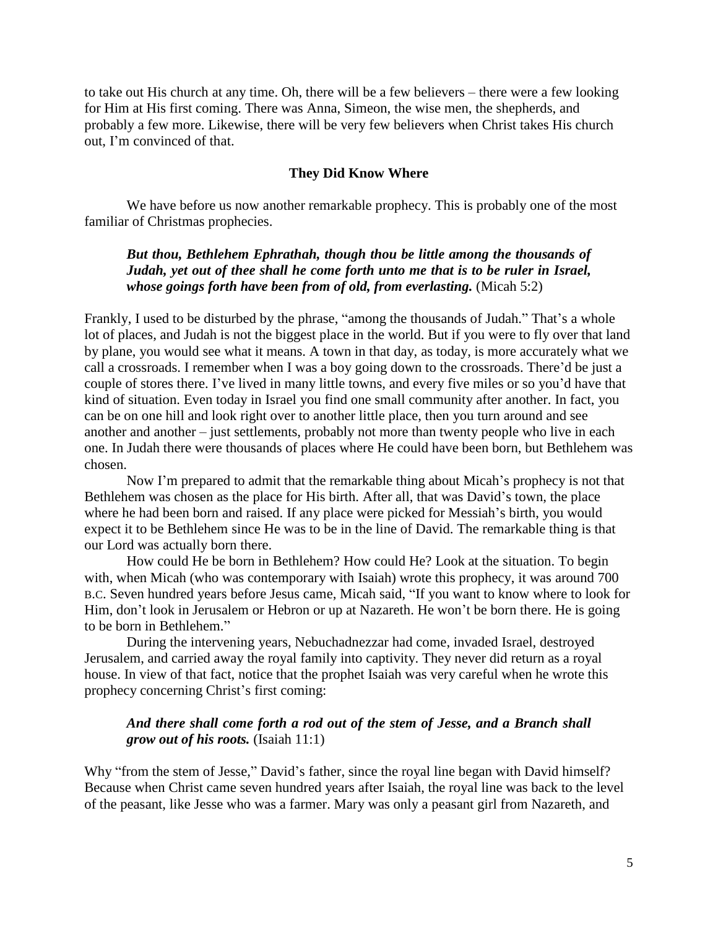to take out His church at any time. Oh, there will be a few believers – there were a few looking for Him at His first coming. There was Anna, Simeon, the wise men, the shepherds, and probably a few more. Likewise, there will be very few believers when Christ takes His church out, I'm convinced of that.

## **They Did Know Where**

We have before us now another remarkable prophecy. This is probably one of the most familiar of Christmas prophecies.

# *But thou, Bethlehem Ephrathah, though thou be little among the thousands of Judah, yet out of thee shall he come forth unto me that is to be ruler in Israel, whose goings forth have been from of old, from everlasting.* (Micah 5:2)

Frankly, I used to be disturbed by the phrase, "among the thousands of Judah." That's a whole lot of places, and Judah is not the biggest place in the world. But if you were to fly over that land by plane, you would see what it means. A town in that day, as today, is more accurately what we call a crossroads. I remember when I was a boy going down to the crossroads. There'd be just a couple of stores there. I've lived in many little towns, and every five miles or so you'd have that kind of situation. Even today in Israel you find one small community after another. In fact, you can be on one hill and look right over to another little place, then you turn around and see another and another – just settlements, probably not more than twenty people who live in each one. In Judah there were thousands of places where He could have been born, but Bethlehem was chosen.

Now I'm prepared to admit that the remarkable thing about Micah's prophecy is not that Bethlehem was chosen as the place for His birth. After all, that was David's town, the place where he had been born and raised. If any place were picked for Messiah's birth, you would expect it to be Bethlehem since He was to be in the line of David. The remarkable thing is that our Lord was actually born there.

How could He be born in Bethlehem? How could He? Look at the situation. To begin with, when Micah (who was contemporary with Isaiah) wrote this prophecy, it was around 700 B.C. Seven hundred years before Jesus came, Micah said, "If you want to know where to look for Him, don't look in Jerusalem or Hebron or up at Nazareth. He won't be born there. He is going to be born in Bethlehem."

During the intervening years, Nebuchadnezzar had come, invaded Israel, destroyed Jerusalem, and carried away the royal family into captivity. They never did return as a royal house. In view of that fact, notice that the prophet Isaiah was very careful when he wrote this prophecy concerning Christ's first coming:

# *And there shall come forth a rod out of the stem of Jesse, and a Branch shall grow out of his roots.* (Isaiah 11:1)

Why "from the stem of Jesse," David's father, since the royal line began with David himself? Because when Christ came seven hundred years after Isaiah, the royal line was back to the level of the peasant, like Jesse who was a farmer. Mary was only a peasant girl from Nazareth, and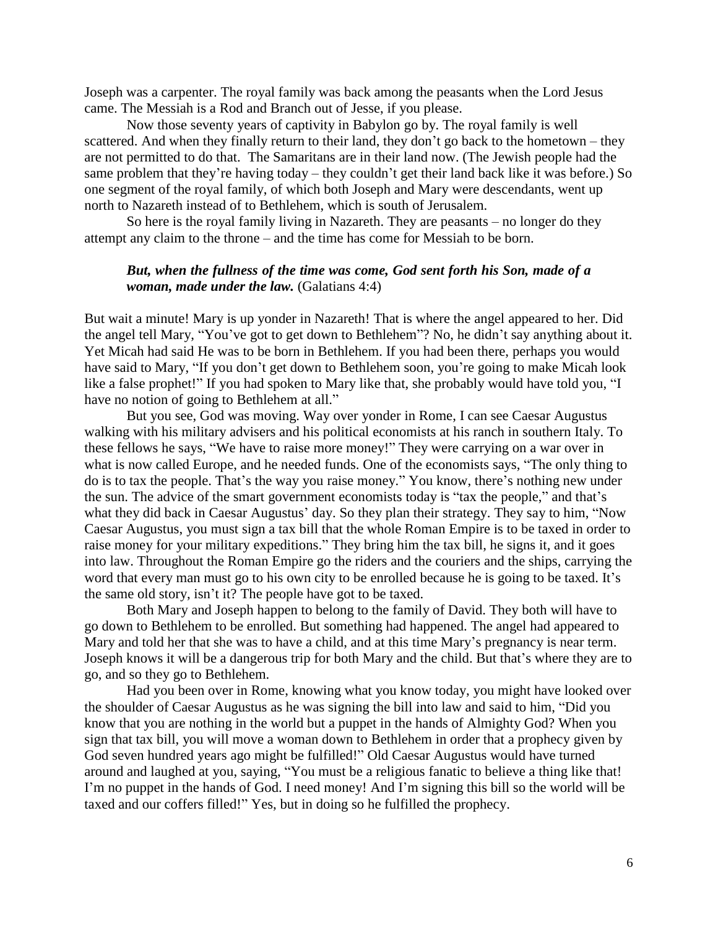Joseph was a carpenter. The royal family was back among the peasants when the Lord Jesus came. The Messiah is a Rod and Branch out of Jesse, if you please.

Now those seventy years of captivity in Babylon go by. The royal family is well scattered. And when they finally return to their land, they don't go back to the hometown – they are not permitted to do that. The Samaritans are in their land now. (The Jewish people had the same problem that they're having today – they couldn't get their land back like it was before.) So one segment of the royal family, of which both Joseph and Mary were descendants, went up north to Nazareth instead of to Bethlehem, which is south of Jerusalem.

So here is the royal family living in Nazareth. They are peasants – no longer do they attempt any claim to the throne – and the time has come for Messiah to be born.

## *But, when the fullness of the time was come, God sent forth his Son, made of a woman, made under the law.* (Galatians 4:4)

But wait a minute! Mary is up yonder in Nazareth! That is where the angel appeared to her. Did the angel tell Mary, "You've got to get down to Bethlehem"? No, he didn't say anything about it. Yet Micah had said He was to be born in Bethlehem. If you had been there, perhaps you would have said to Mary, "If you don't get down to Bethlehem soon, you're going to make Micah look like a false prophet!" If you had spoken to Mary like that, she probably would have told you, "I have no notion of going to Bethlehem at all."

But you see, God was moving. Way over yonder in Rome, I can see Caesar Augustus walking with his military advisers and his political economists at his ranch in southern Italy. To these fellows he says, "We have to raise more money!" They were carrying on a war over in what is now called Europe, and he needed funds. One of the economists says, "The only thing to do is to tax the people. That's the way you raise money." You know, there's nothing new under the sun. The advice of the smart government economists today is "tax the people," and that's what they did back in Caesar Augustus' day. So they plan their strategy. They say to him, "Now Caesar Augustus, you must sign a tax bill that the whole Roman Empire is to be taxed in order to raise money for your military expeditions." They bring him the tax bill, he signs it, and it goes into law. Throughout the Roman Empire go the riders and the couriers and the ships, carrying the word that every man must go to his own city to be enrolled because he is going to be taxed. It's the same old story, isn't it? The people have got to be taxed.

Both Mary and Joseph happen to belong to the family of David. They both will have to go down to Bethlehem to be enrolled. But something had happened. The angel had appeared to Mary and told her that she was to have a child, and at this time Mary's pregnancy is near term. Joseph knows it will be a dangerous trip for both Mary and the child. But that's where they are to go, and so they go to Bethlehem.

Had you been over in Rome, knowing what you know today, you might have looked over the shoulder of Caesar Augustus as he was signing the bill into law and said to him, "Did you know that you are nothing in the world but a puppet in the hands of Almighty God? When you sign that tax bill, you will move a woman down to Bethlehem in order that a prophecy given by God seven hundred years ago might be fulfilled!" Old Caesar Augustus would have turned around and laughed at you, saying, "You must be a religious fanatic to believe a thing like that! I'm no puppet in the hands of God. I need money! And I'm signing this bill so the world will be taxed and our coffers filled!" Yes, but in doing so he fulfilled the prophecy.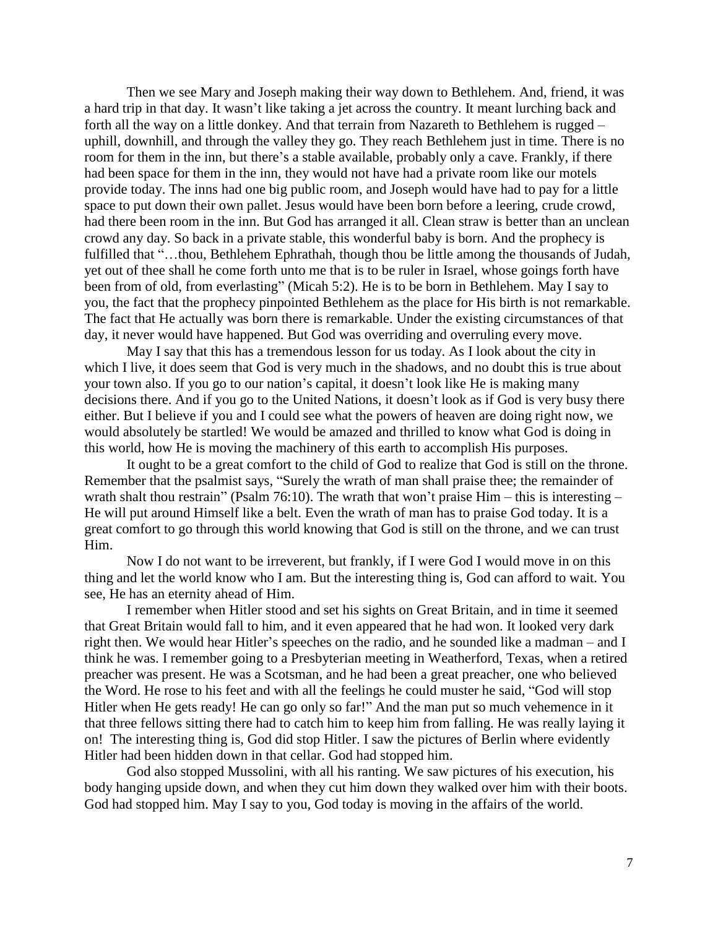Then we see Mary and Joseph making their way down to Bethlehem. And, friend, it was a hard trip in that day. It wasn't like taking a jet across the country. It meant lurching back and forth all the way on a little donkey. And that terrain from Nazareth to Bethlehem is rugged – uphill, downhill, and through the valley they go. They reach Bethlehem just in time. There is no room for them in the inn, but there's a stable available, probably only a cave. Frankly, if there had been space for them in the inn, they would not have had a private room like our motels provide today. The inns had one big public room, and Joseph would have had to pay for a little space to put down their own pallet. Jesus would have been born before a leering, crude crowd, had there been room in the inn. But God has arranged it all. Clean straw is better than an unclean crowd any day. So back in a private stable, this wonderful baby is born. And the prophecy is fulfilled that "…thou, Bethlehem Ephrathah, though thou be little among the thousands of Judah, yet out of thee shall he come forth unto me that is to be ruler in Israel, whose goings forth have been from of old, from everlasting" (Micah 5:2). He is to be born in Bethlehem. May I say to you, the fact that the prophecy pinpointed Bethlehem as the place for His birth is not remarkable. The fact that He actually was born there is remarkable. Under the existing circumstances of that day, it never would have happened. But God was overriding and overruling every move.

May I say that this has a tremendous lesson for us today. As I look about the city in which I live, it does seem that God is very much in the shadows, and no doubt this is true about your town also. If you go to our nation's capital, it doesn't look like He is making many decisions there. And if you go to the United Nations, it doesn't look as if God is very busy there either. But I believe if you and I could see what the powers of heaven are doing right now, we would absolutely be startled! We would be amazed and thrilled to know what God is doing in this world, how He is moving the machinery of this earth to accomplish His purposes.

It ought to be a great comfort to the child of God to realize that God is still on the throne. Remember that the psalmist says, "Surely the wrath of man shall praise thee; the remainder of wrath shalt thou restrain" (Psalm 76:10). The wrath that won't praise Him – this is interesting – He will put around Himself like a belt. Even the wrath of man has to praise God today. It is a great comfort to go through this world knowing that God is still on the throne, and we can trust Him.

Now I do not want to be irreverent, but frankly, if I were God I would move in on this thing and let the world know who I am. But the interesting thing is, God can afford to wait. You see, He has an eternity ahead of Him.

I remember when Hitler stood and set his sights on Great Britain, and in time it seemed that Great Britain would fall to him, and it even appeared that he had won. It looked very dark right then. We would hear Hitler's speeches on the radio, and he sounded like a madman – and I think he was. I remember going to a Presbyterian meeting in Weatherford, Texas, when a retired preacher was present. He was a Scotsman, and he had been a great preacher, one who believed the Word. He rose to his feet and with all the feelings he could muster he said, "God will stop Hitler when He gets ready! He can go only so far!" And the man put so much vehemence in it that three fellows sitting there had to catch him to keep him from falling. He was really laying it on! The interesting thing is, God did stop Hitler. I saw the pictures of Berlin where evidently Hitler had been hidden down in that cellar. God had stopped him.

God also stopped Mussolini, with all his ranting. We saw pictures of his execution, his body hanging upside down, and when they cut him down they walked over him with their boots. God had stopped him. May I say to you, God today is moving in the affairs of the world.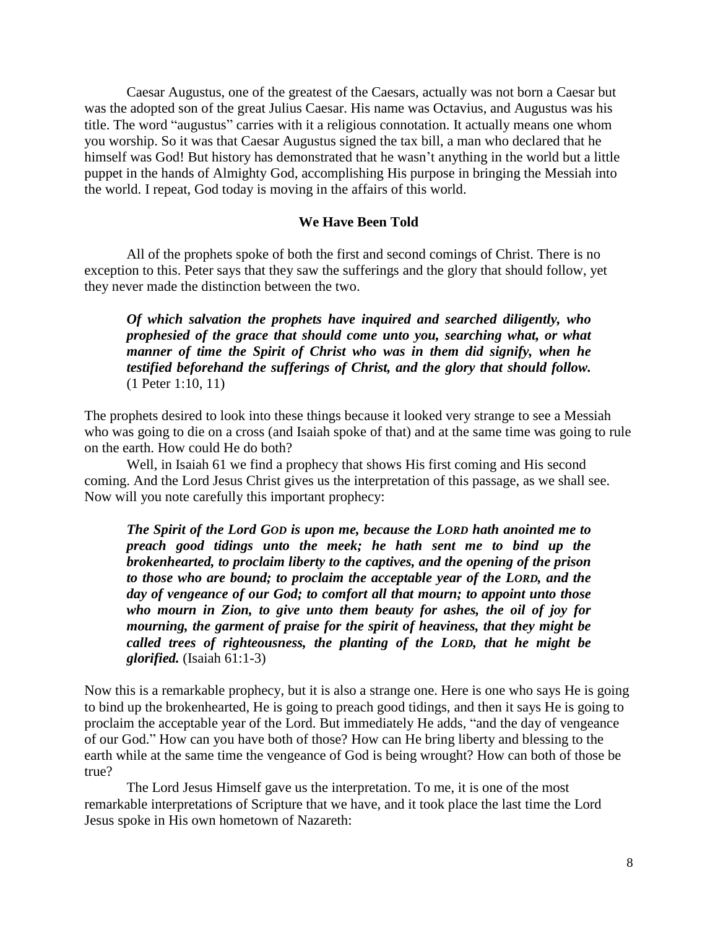Caesar Augustus, one of the greatest of the Caesars, actually was not born a Caesar but was the adopted son of the great Julius Caesar. His name was Octavius, and Augustus was his title. The word "augustus" carries with it a religious connotation. It actually means one whom you worship. So it was that Caesar Augustus signed the tax bill, a man who declared that he himself was God! But history has demonstrated that he wasn't anything in the world but a little puppet in the hands of Almighty God, accomplishing His purpose in bringing the Messiah into the world. I repeat, God today is moving in the affairs of this world.

### **We Have Been Told**

All of the prophets spoke of both the first and second comings of Christ. There is no exception to this. Peter says that they saw the sufferings and the glory that should follow, yet they never made the distinction between the two.

*Of which salvation the prophets have inquired and searched diligently, who prophesied of the grace that should come unto you, searching what, or what manner of time the Spirit of Christ who was in them did signify, when he testified beforehand the sufferings of Christ, and the glory that should follow.* (1 Peter 1:10, 11)

The prophets desired to look into these things because it looked very strange to see a Messiah who was going to die on a cross (and Isaiah spoke of that) and at the same time was going to rule on the earth. How could He do both?

Well, in Isaiah 61 we find a prophecy that shows His first coming and His second coming. And the Lord Jesus Christ gives us the interpretation of this passage, as we shall see. Now will you note carefully this important prophecy:

*The Spirit of the Lord GOD is upon me, because the LORD hath anointed me to preach good tidings unto the meek; he hath sent me to bind up the brokenhearted, to proclaim liberty to the captives, and the opening of the prison to those who are bound; to proclaim the acceptable year of the LORD, and the day of vengeance of our God; to comfort all that mourn; to appoint unto those who mourn in Zion, to give unto them beauty for ashes, the oil of joy for mourning, the garment of praise for the spirit of heaviness, that they might be called trees of righteousness, the planting of the LORD, that he might be glorified.* (Isaiah 61:1-3)

Now this is a remarkable prophecy, but it is also a strange one. Here is one who says He is going to bind up the brokenhearted, He is going to preach good tidings, and then it says He is going to proclaim the acceptable year of the Lord. But immediately He adds, "and the day of vengeance of our God." How can you have both of those? How can He bring liberty and blessing to the earth while at the same time the vengeance of God is being wrought? How can both of those be true?

The Lord Jesus Himself gave us the interpretation. To me, it is one of the most remarkable interpretations of Scripture that we have, and it took place the last time the Lord Jesus spoke in His own hometown of Nazareth: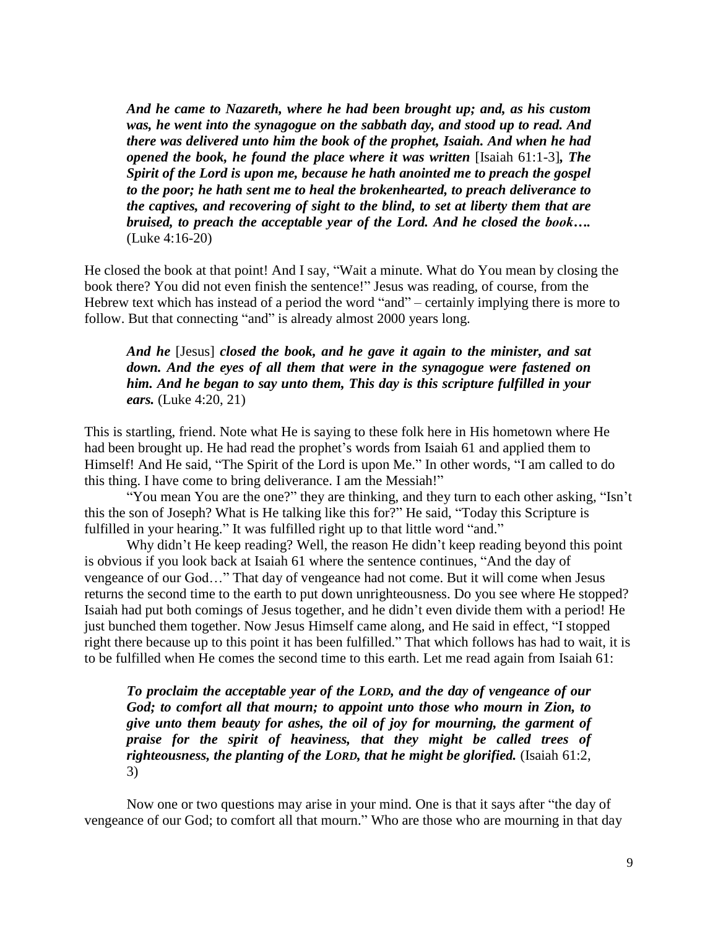*And he came to Nazareth, where he had been brought up; and, as his custom was, he went into the synagogue on the sabbath day, and stood up to read. And there was delivered unto him the book of the prophet, Isaiah. And when he had opened the book, he found the place where it was written* [Isaiah 61:1-3]*, The Spirit of the Lord is upon me, because he hath anointed me to preach the gospel to the poor; he hath sent me to heal the brokenhearted, to preach deliverance to the captives, and recovering of sight to the blind, to set at liberty them that are bruised, to preach the acceptable year of the Lord. And he closed the book….* (Luke 4:16-20)

He closed the book at that point! And I say, "Wait a minute. What do You mean by closing the book there? You did not even finish the sentence!" Jesus was reading, of course, from the Hebrew text which has instead of a period the word "and" – certainly implying there is more to follow. But that connecting "and" is already almost 2000 years long.

# *And he* [Jesus] *closed the book, and he gave it again to the minister, and sat down. And the eyes of all them that were in the synagogue were fastened on him. And he began to say unto them, This day is this scripture fulfilled in your ears.* (Luke 4:20, 21)

This is startling, friend. Note what He is saying to these folk here in His hometown where He had been brought up. He had read the prophet's words from Isaiah 61 and applied them to Himself! And He said, "The Spirit of the Lord is upon Me." In other words, "I am called to do this thing. I have come to bring deliverance. I am the Messiah!"

"You mean You are the one?" they are thinking, and they turn to each other asking, "Isn't this the son of Joseph? What is He talking like this for?" He said, "Today this Scripture is fulfilled in your hearing." It was fulfilled right up to that little word "and."

Why didn't He keep reading? Well, the reason He didn't keep reading beyond this point is obvious if you look back at Isaiah 61 where the sentence continues, "And the day of vengeance of our God…" That day of vengeance had not come. But it will come when Jesus returns the second time to the earth to put down unrighteousness. Do you see where He stopped? Isaiah had put both comings of Jesus together, and he didn't even divide them with a period! He just bunched them together. Now Jesus Himself came along, and He said in effect, "I stopped right there because up to this point it has been fulfilled." That which follows has had to wait, it is to be fulfilled when He comes the second time to this earth. Let me read again from Isaiah 61:

*To proclaim the acceptable year of the LORD, and the day of vengeance of our God; to comfort all that mourn; to appoint unto those who mourn in Zion, to give unto them beauty for ashes, the oil of joy for mourning, the garment of praise for the spirit of heaviness, that they might be called trees of righteousness, the planting of the LORD, that he might be glorified.* (Isaiah 61:2, 3)

Now one or two questions may arise in your mind. One is that it says after "the day of vengeance of our God; to comfort all that mourn." Who are those who are mourning in that day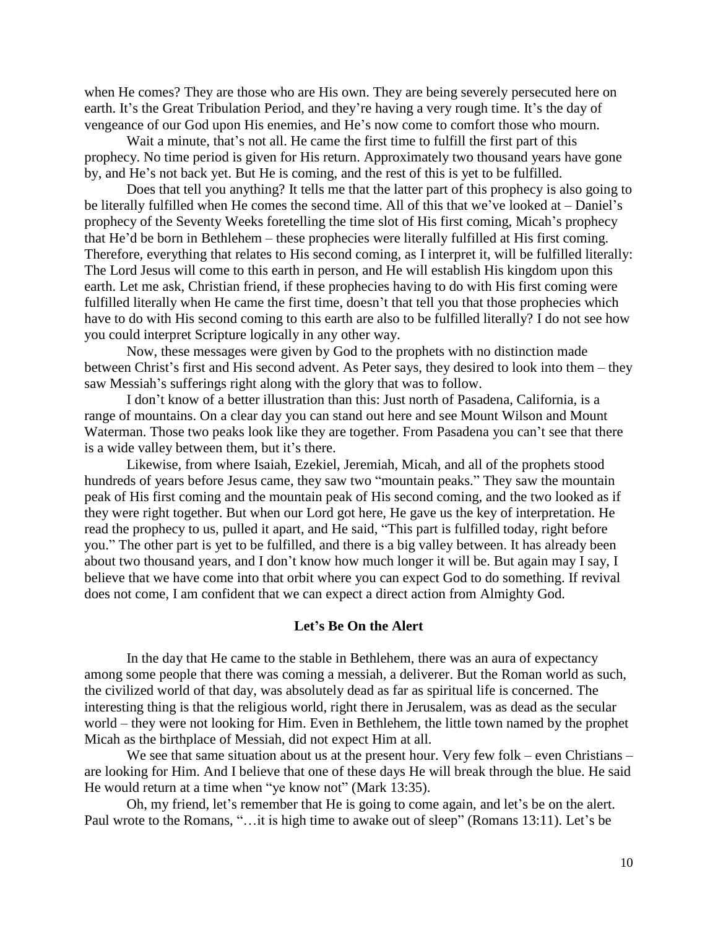when He comes? They are those who are His own. They are being severely persecuted here on earth. It's the Great Tribulation Period, and they're having a very rough time. It's the day of vengeance of our God upon His enemies, and He's now come to comfort those who mourn.

Wait a minute, that's not all. He came the first time to fulfill the first part of this prophecy. No time period is given for His return. Approximately two thousand years have gone by, and He's not back yet. But He is coming, and the rest of this is yet to be fulfilled.

Does that tell you anything? It tells me that the latter part of this prophecy is also going to be literally fulfilled when He comes the second time. All of this that we've looked at – Daniel's prophecy of the Seventy Weeks foretelling the time slot of His first coming, Micah's prophecy that He'd be born in Bethlehem – these prophecies were literally fulfilled at His first coming. Therefore, everything that relates to His second coming, as I interpret it, will be fulfilled literally: The Lord Jesus will come to this earth in person, and He will establish His kingdom upon this earth. Let me ask, Christian friend, if these prophecies having to do with His first coming were fulfilled literally when He came the first time, doesn't that tell you that those prophecies which have to do with His second coming to this earth are also to be fulfilled literally? I do not see how you could interpret Scripture logically in any other way.

Now, these messages were given by God to the prophets with no distinction made between Christ's first and His second advent. As Peter says, they desired to look into them – they saw Messiah's sufferings right along with the glory that was to follow.

I don't know of a better illustration than this: Just north of Pasadena, California, is a range of mountains. On a clear day you can stand out here and see Mount Wilson and Mount Waterman. Those two peaks look like they are together. From Pasadena you can't see that there is a wide valley between them, but it's there.

Likewise, from where Isaiah, Ezekiel, Jeremiah, Micah, and all of the prophets stood hundreds of years before Jesus came, they saw two "mountain peaks." They saw the mountain peak of His first coming and the mountain peak of His second coming, and the two looked as if they were right together. But when our Lord got here, He gave us the key of interpretation. He read the prophecy to us, pulled it apart, and He said, "This part is fulfilled today, right before you." The other part is yet to be fulfilled, and there is a big valley between. It has already been about two thousand years, and I don't know how much longer it will be. But again may I say, I believe that we have come into that orbit where you can expect God to do something. If revival does not come, I am confident that we can expect a direct action from Almighty God.

#### **Let's Be On the Alert**

In the day that He came to the stable in Bethlehem, there was an aura of expectancy among some people that there was coming a messiah, a deliverer. But the Roman world as such, the civilized world of that day, was absolutely dead as far as spiritual life is concerned. The interesting thing is that the religious world, right there in Jerusalem, was as dead as the secular world – they were not looking for Him. Even in Bethlehem, the little town named by the prophet Micah as the birthplace of Messiah, did not expect Him at all.

We see that same situation about us at the present hour. Very few folk – even Christians – are looking for Him. And I believe that one of these days He will break through the blue. He said He would return at a time when "ye know not" (Mark 13:35).

Oh, my friend, let's remember that He is going to come again, and let's be on the alert. Paul wrote to the Romans, "…it is high time to awake out of sleep" (Romans 13:11). Let's be